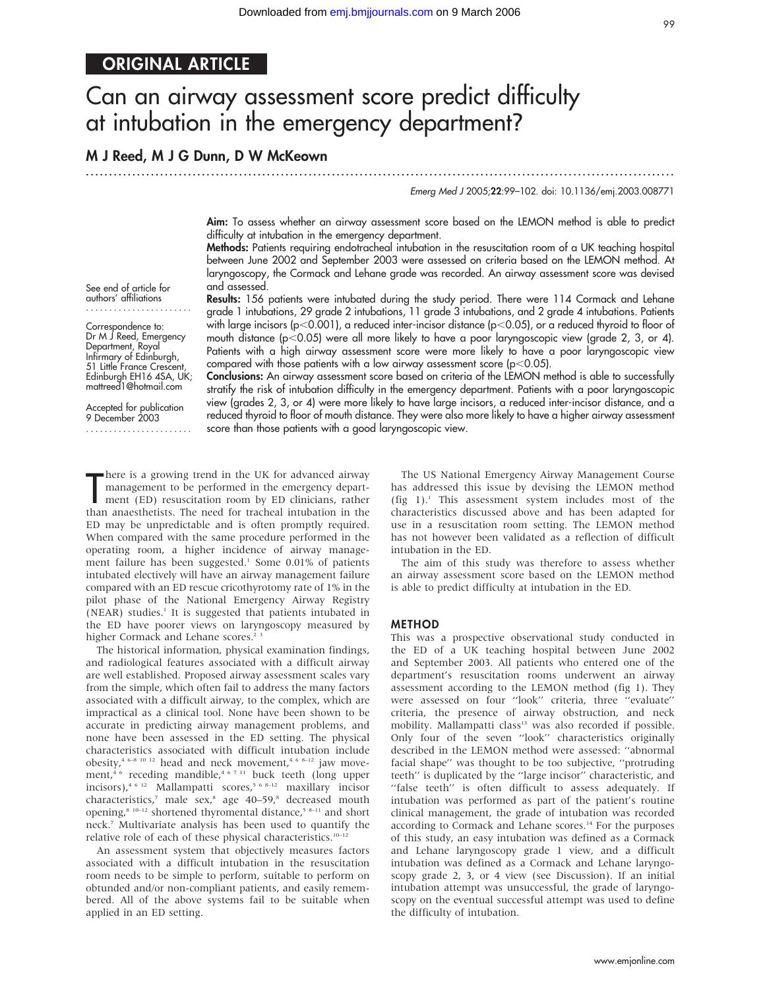# ORIGINAL ARTICLE

# Can an airway assessment score predict difficulty at intubation in the emergency department?

# M J Reed, M J G Dunn, D W McKeown

...............................................................................................................................

Emerg Med J 2005;22:99–102. doi: 10.1136/emj.2003.008771

Aim: To assess whether an airway assessment score based on the LEMON method is able to predict difficulty at intubation in the emergency department.

Methods: Patients requiring endotracheal intubation in the resuscitation room of a UK teaching hospital between June 2002 and September 2003 were assessed on criteria based on the LEMON method. At laryngoscopy, the Cormack and Lehane grade was recorded. An airway assessment score was devised and assessed.

See end of article for authors' affiliations .......................

Correspondence to: Dr M J Reed, Emergency Department, Royal Infirmary of Edinburgh, 51 Little France Crescent, Edinburgh EH16 4SA, UK; mattreed1@hotmail.com

Accepted for publication 9 December 2003 ....................... Results: 156 patients were intubated during the study period. There were 114 Cormack and Lehane grade 1 intubations, 29 grade 2 intubations, 11 grade 3 intubations, and 2 grade 4 intubations. Patients with large incisors (p<0.001), a reduced inter-incisor distance (p<0.05), or a reduced thyroid to floor of mouth distance ( $p$ <0.05) were all more likely to have a poor laryngoscopic view (grade 2, 3, or 4). Patients with a high airway assessment score were more likely to have a poor laryngoscopic view compared with those patients with a low airway assessment score (p<0.05).

Conclusions: An airway assessment score based on criteria of the LEMON method is able to successfully stratify the risk of intubation difficulty in the emergency department. Patients with a poor laryngoscopic view (grades 2, 3, or 4) were more likely to have large incisors, a reduced inter-incisor distance, and a reduced thyroid to floor of mouth distance. They were also more likely to have a higher airway assessment score than those patients with a good laryngoscopic view.

There is a growing trend in the UK for advanced airway<br>
management to be performed in the emergency depart-<br>
ment (ED) resuscitation room by ED clinicians, rather<br>
than anaesthetists. The need for tracheal intubation in th here is a growing trend in the UK for advanced airway management to be performed in the emergency department (ED) resuscitation room by ED clinicians, rather ED may be unpredictable and is often promptly required. When compared with the same procedure performed in the operating room, a higher incidence of airway management failure has been suggested.<sup>1</sup> Some 0.01% of patients intubated electively will have an airway management failure compared with an ED rescue cricothyrotomy rate of 1% in the pilot phase of the National Emergency Airway Registry (NEAR) studies.<sup>1</sup> It is suggested that patients intubated in the ED have poorer views on laryngoscopy measured by higher Cormack and Lehane scores.<sup>2</sup><sup>3</sup>

The historical information, physical examination findings, and radiological features associated with a difficult airway are well established. Proposed airway assessment scales vary from the simple, which often fail to address the many factors associated with a difficult airway, to the complex, which are impractical as a clinical tool. None have been shown to be accurate in predicting airway management problems, and none have been assessed in the ED setting. The physical characteristics associated with difficult intubation include obesity, $4^{6-8}$  10 12 head and neck movement, $4^{6}$   $8-12$  jaw movement, $4/6$  receding mandible, $4/6$  7 11 buck teeth (long upper  $i$  incisors),<sup>4 6 12</sup> Mallampatti scores,<sup>5 6 8–12</sup> maxillary incisor characteristics,<sup>7</sup> male sex,<sup>8</sup> age 40-59,<sup>8</sup> decreased mouth opening, $s^{10-12}$  shortened thyromental distance, $5^{8-11}$  and short neck.7 Multivariate analysis has been used to quantify the relative role of each of these physical characteristics.<sup>10-12</sup>

An assessment system that objectively measures factors associated with a difficult intubation in the resuscitation room needs to be simple to perform, suitable to perform on obtunded and/or non-compliant patients, and easily remembered. All of the above systems fail to be suitable when applied in an ED setting.

The US National Emergency Airway Management Course has addressed this issue by devising the LEMON method (fig  $1$ ).<sup>1</sup> This assessment system includes most of the characteristics discussed above and has been adapted for use in a resuscitation room setting. The LEMON method has not however been validated as a reflection of difficult intubation in the ED.

The aim of this study was therefore to assess whether an airway assessment score based on the LEMON method is able to predict difficulty at intubation in the ED.

## METHOD

This was a prospective observational study conducted in the ED of a UK teaching hospital between June 2002 and September 2003. All patients who entered one of the department's resuscitation rooms underwent an airway assessment according to the LEMON method (fig 1). They were assessed on four ''look'' criteria, three ''evaluate'' criteria, the presence of airway obstruction, and neck mobility. Mallampatti class<sup>13</sup> was also recorded if possible. Only four of the seven ''look'' characteristics originally described in the LEMON method were assessed: ''abnormal facial shape'' was thought to be too subjective, ''protruding teeth'' is duplicated by the ''large incisor'' characteristic, and "false teeth" is often difficult to assess adequately. If intubation was performed as part of the patient's routine clinical management, the grade of intubation was recorded according to Cormack and Lehane scores.<sup>14</sup> For the purposes of this study, an easy intubation was defined as a Cormack and Lehane laryngoscopy grade 1 view, and a difficult intubation was defined as a Cormack and Lehane laryngoscopy grade 2, 3, or 4 view (see Discussion). If an initial intubation attempt was unsuccessful, the grade of laryngoscopy on the eventual successful attempt was used to define the difficulty of intubation.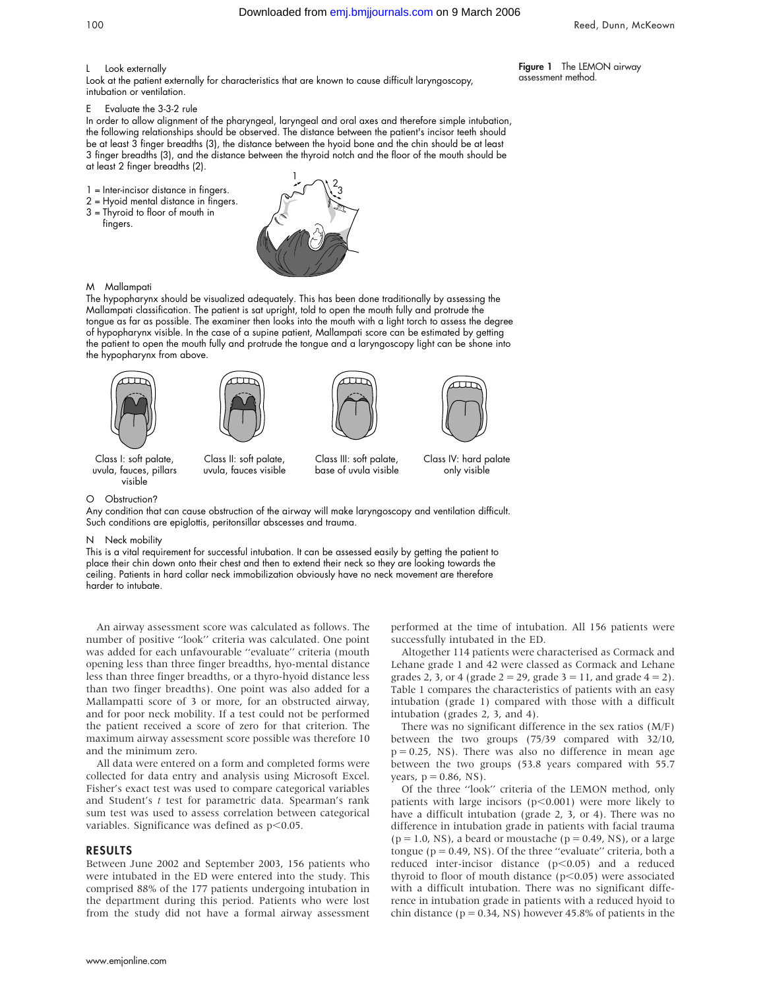#### 100 Reed, Dunn, McKeown

#### L Look externally

Look at the patient externally for characteristics that are known to cause difficult laryngoscopy, intubation or ventilation.

#### E Evaluate the 3-3-2 rule

In order to allow alignment of the pharyngeal, laryngeal and oral axes and therefore simple intubation, the following relationships should be observed. The distance between the patient's incisor teeth should be at least 3 finger breadths (3), the distance between the hyoid bone and the chin should be at least 3 finger breadths (3), and the distance between the thyroid notch and the floor of the mouth should be at least 2 finger breadths (2).

- 1 = Inter-incisor distance in fingers.
- 2 = Hyoid mental distance in fingers.
- 3 = Thyroid to floor of mouth in fingers.



#### M Mallampati

The hypopharynx should be visualized adequately. This has been done traditionally by assessing the Mallampati classification. The patient is sat upright, told to open the mouth fully and protrude the tongue as far as possible. The examiner then looks into the mouth with a light torch to assess the degree of hypopharynx visible. In the case of a supine patient, Mallampati score can be estimated by getting the patient to open the mouth fully and protrude the tongue and a laryngoscopy light can be shone into the hypopharynx from above.





Class I: soft palate, uvula, fauces, pillars visible

Class II: soft palate, uvula, fauces visible base of uvula visible

Class III: soft palate,



Class IV: hard palate only visible

O Obstruction?

Any condition that can cause obstruction of the airway will make laryngoscopy and ventilation difficult. Such conditions are epiglottis, peritonsillar abscesses and trauma.

#### N Neck mobility

This is a vital requirement for successful intubation. It can be assessed easily by getting the patient to place their chin down onto their chest and then to extend their neck so they are looking towards the ceiling. Patients in hard collar neck immobilization obviously have no neck movement are therefore harder to intubate.

An airway assessment score was calculated as follows. The number of positive ''look'' criteria was calculated. One point was added for each unfavourable ''evaluate'' criteria (mouth opening less than three finger breadths, hyo-mental distance less than three finger breadths, or a thyro-hyoid distance less than two finger breadths). One point was also added for a Mallampatti score of 3 or more, for an obstructed airway, and for poor neck mobility. If a test could not be performed the patient received a score of zero for that criterion. The maximum airway assessment score possible was therefore 10 and the minimum zero.

All data were entered on a form and completed forms were collected for data entry and analysis using Microsoft Excel. Fisher's exact test was used to compare categorical variables and Student's t test for parametric data. Spearman's rank sum test was used to assess correlation between categorical variables. Significance was defined as  $p<0.05$ .

#### RESULTS

Between June 2002 and September 2003, 156 patients who were intubated in the ED were entered into the study. This comprised 88% of the 177 patients undergoing intubation in the department during this period. Patients who were lost from the study did not have a formal airway assessment performed at the time of intubation. All 156 patients were successfully intubated in the ED.

Altogether 114 patients were characterised as Cormack and Lehane grade 1 and 42 were classed as Cormack and Lehane grades 2, 3, or 4 (grade  $2 = 29$ , grade  $3 = 11$ , and grade  $4 = 2$ ). Table 1 compares the characteristics of patients with an easy intubation (grade 1) compared with those with a difficult intubation (grades 2, 3, and 4).

There was no significant difference in the sex ratios (M/F) between the two groups (75/39 compared with 32/10,  $p = 0.25$ , NS). There was also no difference in mean age between the two groups (53.8 years compared with 55.7 years,  $p = 0.86$ , NS).

Of the three ''look'' criteria of the LEMON method, only patients with large incisors  $(p<0.001)$  were more likely to have a difficult intubation (grade 2, 3, or 4). There was no difference in intubation grade in patients with facial trauma  $(p = 1.0, NS)$ , a beard or moustache  $(p = 0.49, NS)$ , or a large tongue ( $p = 0.49$ , NS). Of the three "evaluate" criteria, both a reduced inter-incisor distance  $(p<0.05)$  and a reduced thyroid to floor of mouth distance ( $p$ <0.05) were associated with a difficult intubation. There was no significant difference in intubation grade in patients with a reduced hyoid to chin distance ( $p = 0.34$ , NS) however 45.8% of patients in the

Figure 1 The LEMON airway assessment method.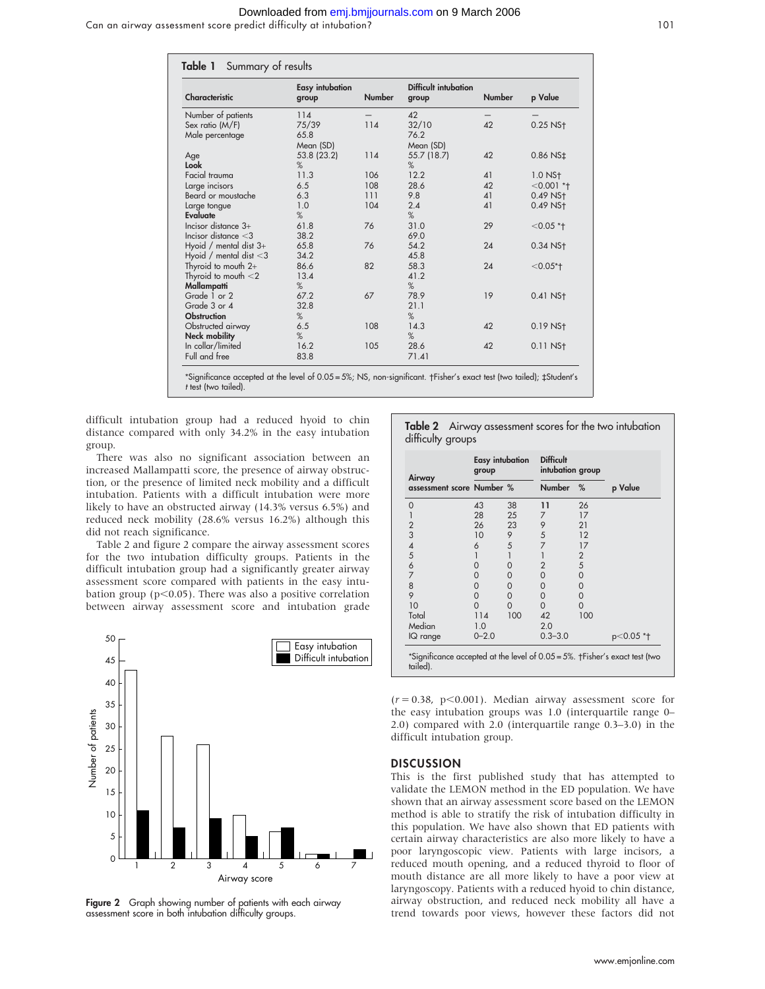# Downloaded from [emj.bmjjournals.com](http://emj.bmjjournals.com) on 9 March 2006

| Characteristic                        | <b>Easy intubation</b><br>group | <b>Number</b> | <b>Difficult intubation</b><br>group | <b>Number</b> | p Value                |
|---------------------------------------|---------------------------------|---------------|--------------------------------------|---------------|------------------------|
|                                       | 114                             |               | 42                                   |               |                        |
| Number of patients<br>Sex ratio (M/F) | 75/39                           | 114           | 32/10                                | 42            | $0.25$ NS $\dagger$    |
|                                       | 65.8                            |               | 76.2                                 |               |                        |
| Male percentage                       | Mean (SD)                       |               | Mean (SD)                            |               |                        |
|                                       | 53.8 (23.2)                     | 114           | 55.7 (18.7)                          | 42            | 0.86 NS <sup>±</sup>   |
| Age<br>Look                           | %                               |               | %                                    |               |                        |
| Facial trauma                         | 11.3                            | 106           | 12.2                                 | 41            | $1.0$ NS $\dagger$     |
| Large incisors                        | 6.5                             | 108           | 28.6                                 | $\Delta$      | $< 0.001$ *t           |
| Beard or moustache                    | 6.3                             | 111           | 9.8                                  | 41            | 0.49 NS+               |
| Large tongue                          | 1.0                             | 104           | 2.4                                  | 41            | 0.49 NS <sub>t</sub>   |
| Evaluate                              | %                               |               | %                                    |               |                        |
| Incisor distance $3+$                 | 61.8                            | 76            | 31.0                                 | 29            | $< 0.05$ *†            |
| Incisor distance $<$ 3                | 38.2                            |               | 69.0                                 |               |                        |
| Hyoid / mental dist $3+$              | 65.8                            | 76            | 54.2                                 | 24            | 0.34 NS+               |
| Hyoid / mental dist $<$ 3             | 34.2                            |               | 45.8                                 |               |                        |
| Thyroid to mouth $2+$                 | 86.6                            | 82            | 58.3                                 | 24            | $< 0.05$ *†            |
| Thyroid to mouth $<$ 2                | 13.4                            |               | 41.2                                 |               |                        |
| Mallampatti                           | %                               |               | %                                    |               |                        |
| Grade 1 or 2                          | 67.2                            | 67            | 78.9                                 | 19            | 0.41 NS+               |
| Grade 3 or 4                          | 32.8                            |               | 21.1                                 |               |                        |
| Obstruction                           | %                               |               | %                                    |               |                        |
| Obstructed airway                     | 6.5                             | 108           | 14.3                                 | 42            | $0.19$ NS <sub>†</sub> |
| <b>Neck mobility</b>                  | %                               |               | %                                    |               |                        |
| In collar/limited                     | 16.2                            | 105           | 28.6                                 | 42            | 0.11 NS <sub>t</sub>   |
| Full and free                         | 83.8                            |               | 71.41                                |               |                        |

\*Significance accepted at the level of 0.05 = 5%; NS, non-significant. Fisher's exact test (two tailed); `Student's t test (two tailed).

difficult intubation group had a reduced hyoid to chin distance compared with only 34.2% in the easy intubation group.

There was also no significant association between an increased Mallampatti score, the presence of airway obstruction, or the presence of limited neck mobility and a difficult intubation. Patients with a difficult intubation were more likely to have an obstructed airway (14.3% versus 6.5%) and reduced neck mobility (28.6% versus 16.2%) although this did not reach significance.

Table 2 and figure 2 compare the airway assessment scores for the two intubation difficulty groups. Patients in the difficult intubation group had a significantly greater airway assessment score compared with patients in the easy intubation group ( $p<0.05$ ). There was also a positive correlation between airway assessment score and intubation grade



Figure 2 Graph showing number of patients with each airway assessment score in both intubation difficulty groups.

**Table 2** Airway assessment scores for the two intubation difficulty groups

| Airway                                                                                  | <b>Easy intubation</b><br>group |                                   | <b>Difficult</b><br>intubation group |                |             |  |
|-----------------------------------------------------------------------------------------|---------------------------------|-----------------------------------|--------------------------------------|----------------|-------------|--|
| assessment score Number %                                                               |                                 |                                   | <b>Number</b>                        | %              | p Value     |  |
| 0                                                                                       | 43                              | 38                                | 11                                   | 26             |             |  |
| 1                                                                                       | 28                              | 25                                | 7                                    | 17             |             |  |
| $\overline{2}$                                                                          | 26                              | 23                                | 9                                    | 21             |             |  |
| 3                                                                                       | 10                              | 9                                 | 5                                    | 12             |             |  |
| $\overline{\mathcal{A}}$                                                                | 6                               | 5                                 |                                      | 17             |             |  |
| 5                                                                                       |                                 |                                   |                                      | $\overline{2}$ |             |  |
| 6                                                                                       |                                 | Ω                                 | 2                                    | 5              |             |  |
| $\overline{7}$                                                                          | Ω                               |                                   | Ω                                    | 0              |             |  |
| 8                                                                                       |                                 | $\scriptstyle\rm\scriptstyle{()}$ | 0                                    | 0              |             |  |
| 9                                                                                       |                                 | Ω                                 | 0                                    | 0              |             |  |
| 10                                                                                      |                                 |                                   | Ω                                    | ი              |             |  |
| Total                                                                                   | 114                             | 100                               | 42                                   | 100            |             |  |
| Median                                                                                  | 1.0                             |                                   | 2.0                                  |                |             |  |
| IQ range                                                                                | $0 - 2.0$                       |                                   | $0.3 - 3.0$                          |                | $p<0.05$ *† |  |
| *Significance accepted at the level of 0.05 = 5%. Thisher's exact test (two<br>tailed). |                                 |                                   |                                      |                |             |  |

 $(r = 0.38, p < 0.001)$ . Median airway assessment score for the easy intubation groups was 1.0 (interquartile range 0– 2.0) compared with 2.0 (interquartile range 0.3–3.0) in the difficult intubation group.

#### **DISCUSSION**

This is the first published study that has attempted to validate the LEMON method in the ED population. We have shown that an airway assessment score based on the LEMON method is able to stratify the risk of intubation difficulty in this population. We have also shown that ED patients with certain airway characteristics are also more likely to have a poor laryngoscopic view. Patients with large incisors, a reduced mouth opening, and a reduced thyroid to floor of mouth distance are all more likely to have a poor view at laryngoscopy. Patients with a reduced hyoid to chin distance, airway obstruction, and reduced neck mobility all have a trend towards poor views, however these factors did not